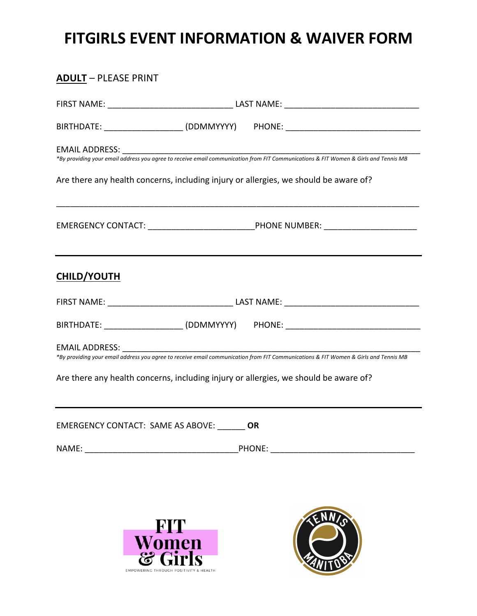## **FITGIRLS EVENT INFORMATION & WAIVER FORM**

| <b>ADULT - PLEASE PRINT</b>                  |                                                                                                                                                                                                                             |  |  |
|----------------------------------------------|-----------------------------------------------------------------------------------------------------------------------------------------------------------------------------------------------------------------------------|--|--|
|                                              |                                                                                                                                                                                                                             |  |  |
|                                              | BIRTHDATE: ________________________(DDMMYYYY)  PHONE: __________________________                                                                                                                                            |  |  |
|                                              | *By providing your email address you agree to receive email communication from FIT Communications & FIT Women & Girls and Tennis MB                                                                                         |  |  |
|                                              | Are there any health concerns, including injury or allergies, we should be aware of?                                                                                                                                        |  |  |
|                                              | EMERGENCY CONTACT: ___________________________________PHONE NUMBER: _____________                                                                                                                                           |  |  |
| <b>CHILD/YOUTH</b>                           |                                                                                                                                                                                                                             |  |  |
|                                              |                                                                                                                                                                                                                             |  |  |
|                                              | BIRTHDATE: _______________________(DDMMYYYY)  PHONE: ___________________________                                                                                                                                            |  |  |
|                                              | *By providing your email address you agree to receive email communication from FIT Communications & FIT Women & Girls and Tennis MB<br>Are there any health concerns, including injury or allergies, we should be aware of? |  |  |
| EMERGENCY CONTACT: SAME AS ABOVE: _______ OR |                                                                                                                                                                                                                             |  |  |
|                                              |                                                                                                                                                                                                                             |  |  |
|                                              |                                                                                                                                                                                                                             |  |  |